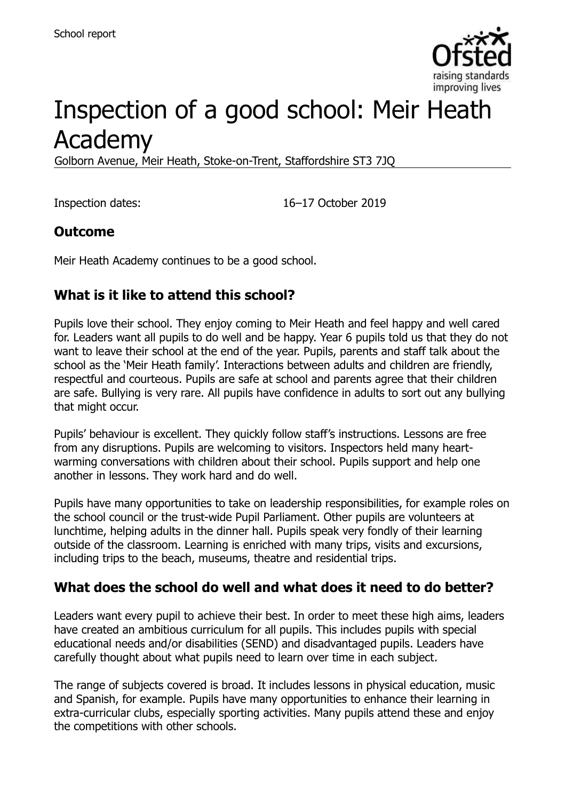

# Inspection of a good school: Meir Heath Academy

Golborn Avenue, Meir Heath, Stoke-on-Trent, Staffordshire ST3 7JQ

Inspection dates: 16–17 October 2019

### **Outcome**

Meir Heath Academy continues to be a good school.

# **What is it like to attend this school?**

Pupils love their school. They enjoy coming to Meir Heath and feel happy and well cared for. Leaders want all pupils to do well and be happy. Year 6 pupils told us that they do not want to leave their school at the end of the year. Pupils, parents and staff talk about the school as the 'Meir Heath family'. Interactions between adults and children are friendly, respectful and courteous. Pupils are safe at school and parents agree that their children are safe. Bullying is very rare. All pupils have confidence in adults to sort out any bullying that might occur.

Pupils' behaviour is excellent. They quickly follow staff's instructions. Lessons are free from any disruptions. Pupils are welcoming to visitors. Inspectors held many heartwarming conversations with children about their school. Pupils support and help one another in lessons. They work hard and do well.

Pupils have many opportunities to take on leadership responsibilities, for example roles on the school council or the trust-wide Pupil Parliament. Other pupils are volunteers at lunchtime, helping adults in the dinner hall. Pupils speak very fondly of their learning outside of the classroom. Learning is enriched with many trips, visits and excursions, including trips to the beach, museums, theatre and residential trips.

### **What does the school do well and what does it need to do better?**

Leaders want every pupil to achieve their best. In order to meet these high aims, leaders have created an ambitious curriculum for all pupils. This includes pupils with special educational needs and/or disabilities (SEND) and disadvantaged pupils. Leaders have carefully thought about what pupils need to learn over time in each subject.

The range of subjects covered is broad. It includes lessons in physical education, music and Spanish, for example. Pupils have many opportunities to enhance their learning in extra-curricular clubs, especially sporting activities. Many pupils attend these and enjoy the competitions with other schools.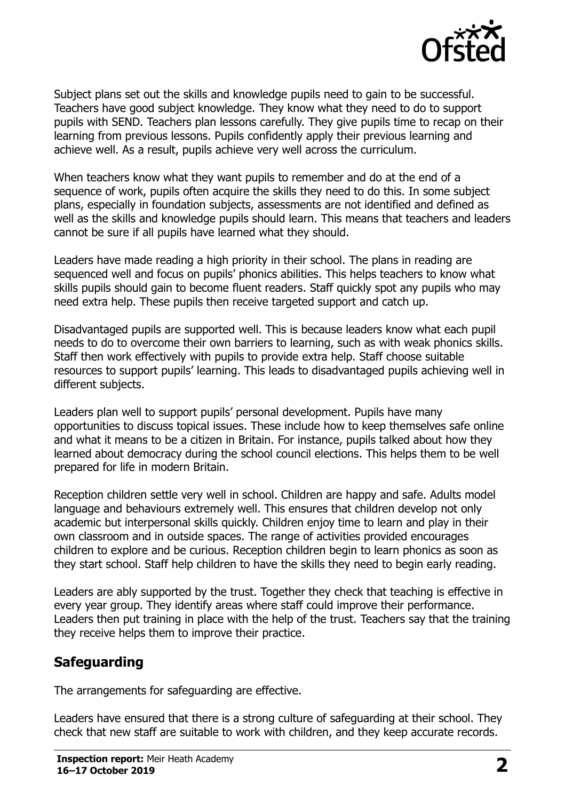

Subject plans set out the skills and knowledge pupils need to gain to be successful. Teachers have good subject knowledge. They know what they need to do to support pupils with SEND. Teachers plan lessons carefully. They give pupils time to recap on their learning from previous lessons. Pupils confidently apply their previous learning and achieve well. As a result, pupils achieve very well across the curriculum.

When teachers know what they want pupils to remember and do at the end of a sequence of work, pupils often acquire the skills they need to do this. In some subject plans, especially in foundation subjects, assessments are not identified and defined as well as the skills and knowledge pupils should learn. This means that teachers and leaders cannot be sure if all pupils have learned what they should.

Leaders have made reading a high priority in their school. The plans in reading are sequenced well and focus on pupils' phonics abilities. This helps teachers to know what skills pupils should gain to become fluent readers. Staff quickly spot any pupils who may need extra help. These pupils then receive targeted support and catch up.

Disadvantaged pupils are supported well. This is because leaders know what each pupil needs to do to overcome their own barriers to learning, such as with weak phonics skills. Staff then work effectively with pupils to provide extra help. Staff choose suitable resources to support pupils' learning. This leads to disadvantaged pupils achieving well in different subjects.

Leaders plan well to support pupils' personal development. Pupils have many opportunities to discuss topical issues. These include how to keep themselves safe online and what it means to be a citizen in Britain. For instance, pupils talked about how they learned about democracy during the school council elections. This helps them to be well prepared for life in modern Britain.

Reception children settle very well in school. Children are happy and safe. Adults model language and behaviours extremely well. This ensures that children develop not only academic but interpersonal skills quickly. Children enjoy time to learn and play in their own classroom and in outside spaces. The range of activities provided encourages children to explore and be curious. Reception children begin to learn phonics as soon as they start school. Staff help children to have the skills they need to begin early reading.

Leaders are ably supported by the trust. Together they check that teaching is effective in every year group. They identify areas where staff could improve their performance. Leaders then put training in place with the help of the trust. Teachers say that the training they receive helps them to improve their practice.

### **Safeguarding**

The arrangements for safeguarding are effective.

Leaders have ensured that there is a strong culture of safeguarding at their school. They check that new staff are suitable to work with children, and they keep accurate records.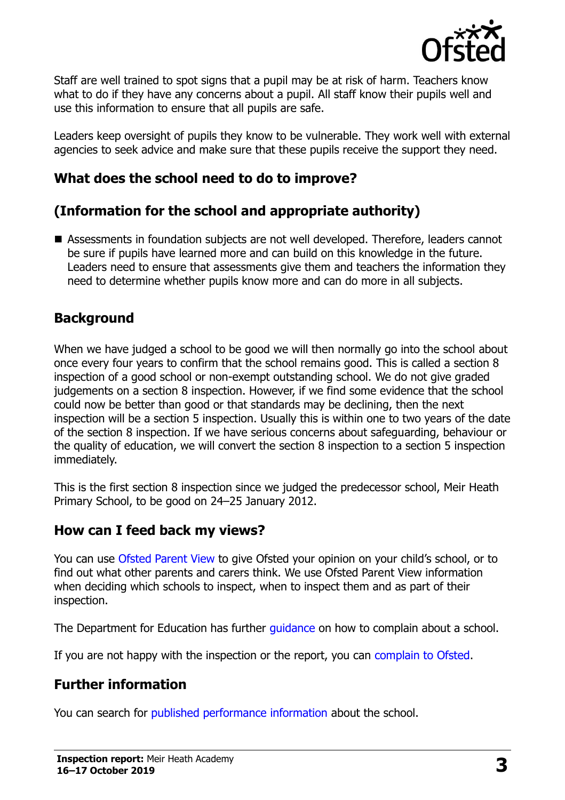

Staff are well trained to spot signs that a pupil may be at risk of harm. Teachers know what to do if they have any concerns about a pupil. All staff know their pupils well and use this information to ensure that all pupils are safe.

Leaders keep oversight of pupils they know to be vulnerable. They work well with external agencies to seek advice and make sure that these pupils receive the support they need.

### **What does the school need to do to improve?**

# **(Information for the school and appropriate authority)**

■ Assessments in foundation subjects are not well developed. Therefore, leaders cannot be sure if pupils have learned more and can build on this knowledge in the future. Leaders need to ensure that assessments give them and teachers the information they need to determine whether pupils know more and can do more in all subjects.

### **Background**

When we have judged a school to be good we will then normally go into the school about once every four years to confirm that the school remains good. This is called a section 8 inspection of a good school or non-exempt outstanding school. We do not give graded judgements on a section 8 inspection. However, if we find some evidence that the school could now be better than good or that standards may be declining, then the next inspection will be a section 5 inspection. Usually this is within one to two years of the date of the section 8 inspection. If we have serious concerns about safeguarding, behaviour or the quality of education, we will convert the section 8 inspection to a section 5 inspection immediately.

This is the first section 8 inspection since we judged the predecessor school, Meir Heath Primary School, to be good on 24–25 January 2012.

#### **How can I feed back my views?**

You can use [Ofsted Parent View](https://parentview.ofsted.gov.uk/) to give Ofsted your opinion on your child's school, or to find out what other parents and carers think. We use Ofsted Parent View information when deciding which schools to inspect, when to inspect them and as part of their inspection.

The Department for Education has further quidance on how to complain about a school.

If you are not happy with the inspection or the report, you can [complain to Ofsted.](https://www.gov.uk/complain-ofsted-report)

#### **Further information**

You can search for [published performance information](http://www.compare-school-performance.service.gov.uk/) about the school.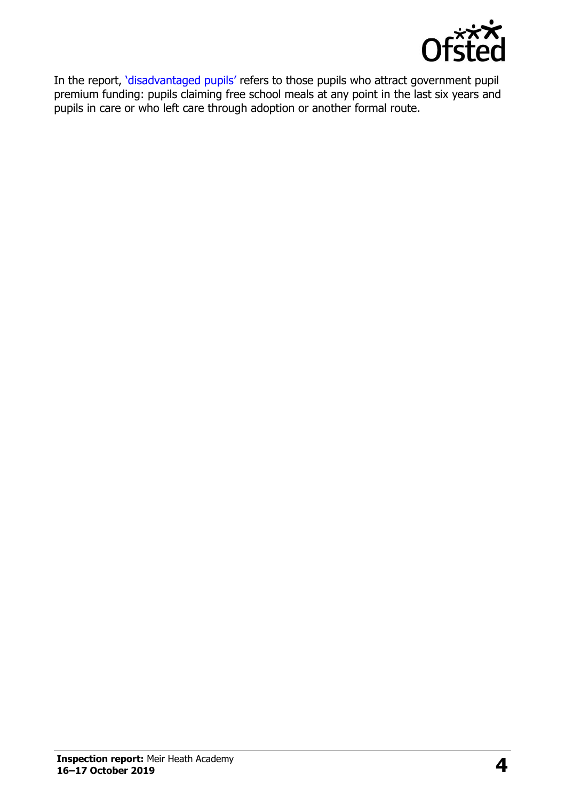

In the report, '[disadvantaged pupils](http://www.gov.uk/guidance/pupil-premium-information-for-schools-and-alternative-provision-settings)' refers to those pupils who attract government pupil premium funding: pupils claiming free school meals at any point in the last six years and pupils in care or who left care through adoption or another formal route.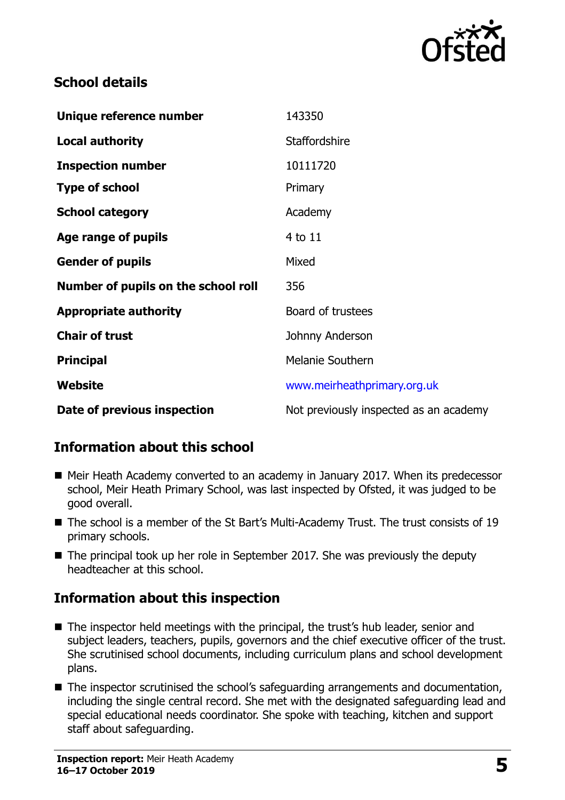

#### **School details**

| Unique reference number             | 143350                                 |
|-------------------------------------|----------------------------------------|
| <b>Local authority</b>              | <b>Staffordshire</b>                   |
| <b>Inspection number</b>            | 10111720                               |
| <b>Type of school</b>               | Primary                                |
| <b>School category</b>              | Academy                                |
| Age range of pupils                 | 4 to 11                                |
| <b>Gender of pupils</b>             | Mixed                                  |
| Number of pupils on the school roll | 356                                    |
| <b>Appropriate authority</b>        | Board of trustees                      |
| <b>Chair of trust</b>               | Johnny Anderson                        |
| <b>Principal</b>                    | <b>Melanie Southern</b>                |
| Website                             | www.meirheathprimary.org.uk            |
| Date of previous inspection         | Not previously inspected as an academy |

### **Information about this school**

- Meir Heath Academy converted to an academy in January 2017. When its predecessor school, Meir Heath Primary School, was last inspected by Ofsted, it was judged to be good overall.
- The school is a member of the St Bart's Multi-Academy Trust. The trust consists of 19 primary schools.
- The principal took up her role in September 2017. She was previously the deputy headteacher at this school.

### **Information about this inspection**

- The inspector held meetings with the principal, the trust's hub leader, senior and subject leaders, teachers, pupils, governors and the chief executive officer of the trust. She scrutinised school documents, including curriculum plans and school development plans.
- The inspector scrutinised the school's safeguarding arrangements and documentation, including the single central record. She met with the designated safeguarding lead and special educational needs coordinator. She spoke with teaching, kitchen and support staff about safeguarding.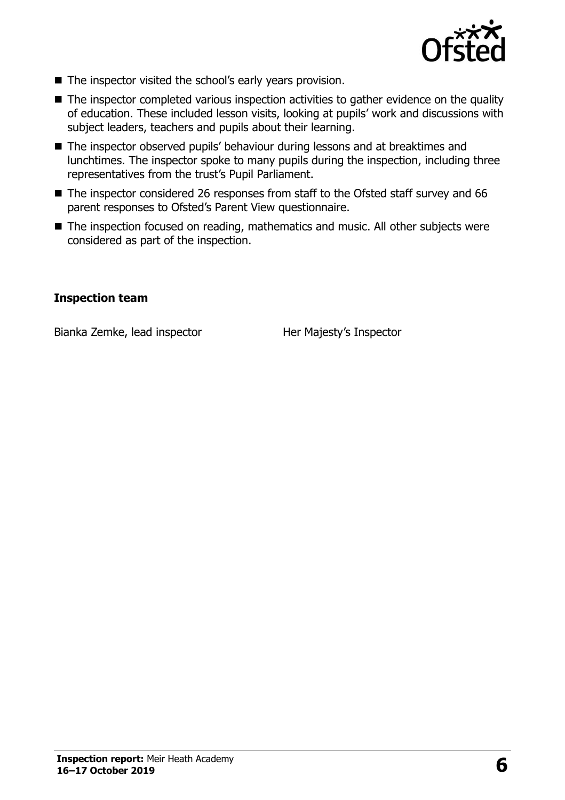

- The inspector visited the school's early years provision.
- The inspector completed various inspection activities to gather evidence on the quality of education. These included lesson visits, looking at pupils' work and discussions with subject leaders, teachers and pupils about their learning.
- The inspector observed pupils' behaviour during lessons and at breaktimes and lunchtimes. The inspector spoke to many pupils during the inspection, including three representatives from the trust's Pupil Parliament.
- The inspector considered 26 responses from staff to the Ofsted staff survey and 66 parent responses to Ofsted's Parent View questionnaire.
- The inspection focused on reading, mathematics and music. All other subjects were considered as part of the inspection.

#### **Inspection team**

Bianka Zemke, lead inspector **Her Majesty's Inspector**